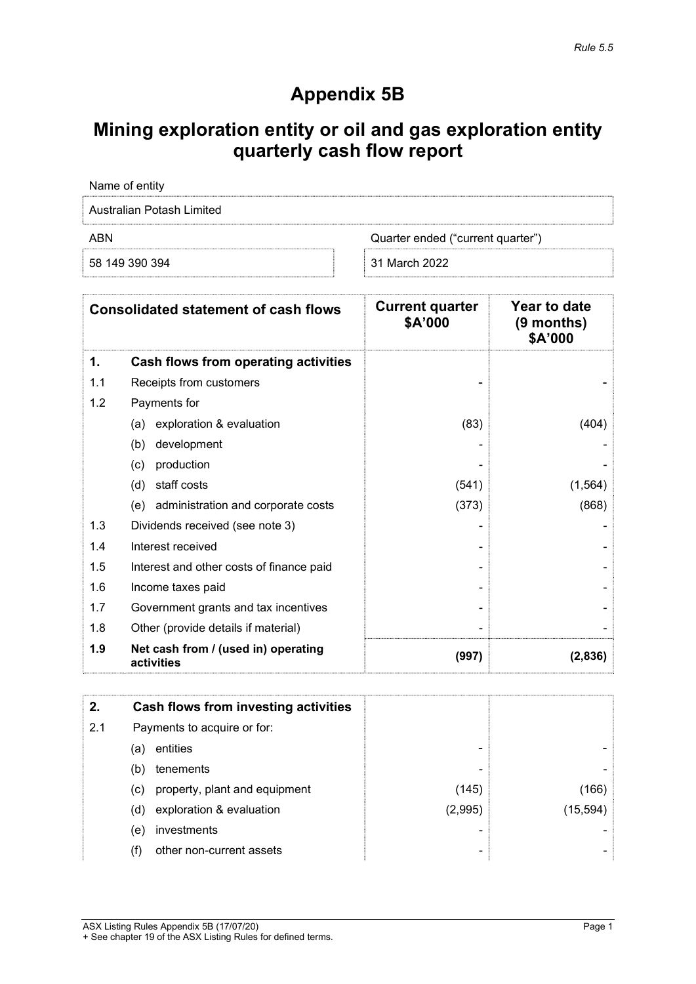## Appendix 5B

# Mining exploration entity or oil and gas exploration entity quarterly cash flow report

| Name of entity                           |               |
|------------------------------------------|---------------|
| Australian Potash Limited                |               |
| ABN<br>Quarter ended ("current quarter") |               |
| 58 149 390 394                           | 31 March 2022 |

| <b>Consolidated statement of cash flows</b> |                                                   | <b>Current quarter</b><br>\$A'000 | Year to date<br>$(9$ months)<br>\$A'000 |
|---------------------------------------------|---------------------------------------------------|-----------------------------------|-----------------------------------------|
| 1.                                          | Cash flows from operating activities              |                                   |                                         |
| 1.1                                         | Receipts from customers                           |                                   |                                         |
| 1.2                                         | Payments for                                      |                                   |                                         |
|                                             | exploration & evaluation<br>(a)                   | (83)                              | (404)                                   |
|                                             | development<br>(b)                                |                                   |                                         |
|                                             | production<br>(c)                                 |                                   |                                         |
|                                             | staff costs<br>(d)                                | (541)                             | (1, 564)                                |
|                                             | (e) administration and corporate costs            | (373)                             | (868)                                   |
| 1.3                                         | Dividends received (see note 3)                   |                                   |                                         |
| 1.4                                         | Interest received                                 |                                   |                                         |
| 1.5                                         | Interest and other costs of finance paid          |                                   |                                         |
| 1.6                                         | Income taxes paid                                 |                                   |                                         |
| 1.7                                         | Government grants and tax incentives              |                                   |                                         |
| 1.8                                         | Other (provide details if material)               |                                   |                                         |
| 1.9                                         | Net cash from / (used in) operating<br>activities | (997)                             | (2,836)                                 |

| 2.  |     | Cash flows from investing activities |         |           |
|-----|-----|--------------------------------------|---------|-----------|
| 2.1 |     | Payments to acquire or for:          |         |           |
|     | (a) | entities                             | -       |           |
|     | (b) | tenements                            | ٠       |           |
|     | (c) | property, plant and equipment        | (145)   | (166)     |
|     | (d) | exploration & evaluation             | (2,995) | (15, 594) |
|     | (e) | investments                          |         |           |
|     | (f) | other non-current assets             | ٠       |           |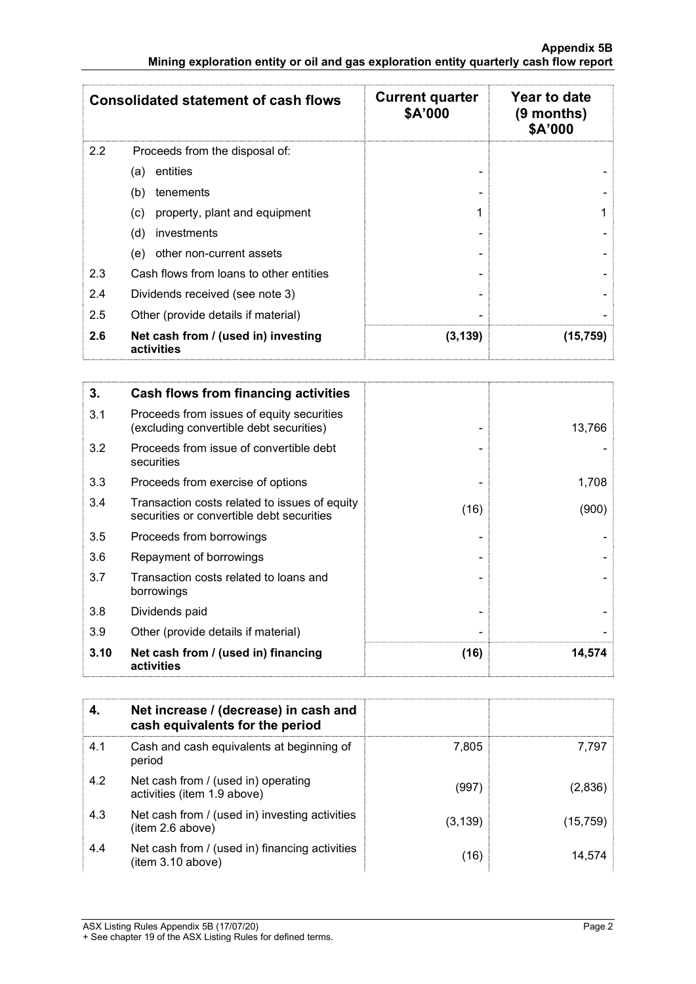|     | <b>Consolidated statement of cash flows</b>       | <b>Current quarter</b><br>\$A'000 | Year to date<br>$(9$ months)<br>\$A'000 |
|-----|---------------------------------------------------|-----------------------------------|-----------------------------------------|
| 2.2 | Proceeds from the disposal of:                    |                                   |                                         |
|     | entities<br>(a)                                   |                                   |                                         |
|     | (b)<br>tenements                                  |                                   |                                         |
|     | property, plant and equipment<br>(c)              |                                   |                                         |
|     | (d)<br>investments                                |                                   |                                         |
|     | other non-current assets<br>(e)                   |                                   |                                         |
| 2.3 | Cash flows from loans to other entities           |                                   |                                         |
| 2.4 | Dividends received (see note 3)                   |                                   |                                         |
| 2.5 | Other (provide details if material)               |                                   |                                         |
| 2.6 | Net cash from / (used in) investing<br>activities | (3, 139)                          | (15,759)                                |

| 3.   | Cash flows from financing activities                                                       |      |        |
|------|--------------------------------------------------------------------------------------------|------|--------|
| 3.1  | Proceeds from issues of equity securities<br>(excluding convertible debt securities)       |      | 13,766 |
| 3.2  | Proceeds from issue of convertible debt<br>securities                                      |      |        |
| 3.3  | Proceeds from exercise of options                                                          |      | 1,708  |
| 3.4  | Transaction costs related to issues of equity<br>securities or convertible debt securities | (16) | (900)  |
| 3.5  | Proceeds from borrowings                                                                   |      |        |
| 3.6  | Repayment of borrowings                                                                    |      |        |
| 3.7  | Transaction costs related to loans and<br>borrowings                                       |      |        |
| 3.8  | Dividends paid                                                                             |      |        |
| 3.9  | Other (provide details if material)                                                        |      |        |
| 3.10 | Net cash from / (used in) financing<br>activities                                          | (16) | 14,574 |

|     | Net increase / (decrease) in cash and<br>cash equivalents for the period |          |          |
|-----|--------------------------------------------------------------------------|----------|----------|
| 4.1 | Cash and cash equivalents at beginning of<br>period                      | 7,805    | 7.797    |
| 4.2 | Net cash from / (used in) operating<br>activities (item 1.9 above)       | (997)    | (2,836)  |
| 4.3 | Net cash from / (used in) investing activities<br>(item 2.6 above)       | (3, 139) | (15,759) |
| 4.4 | Net cash from / (used in) financing activities<br>(item 3.10 above)      | (16)     | 14.574   |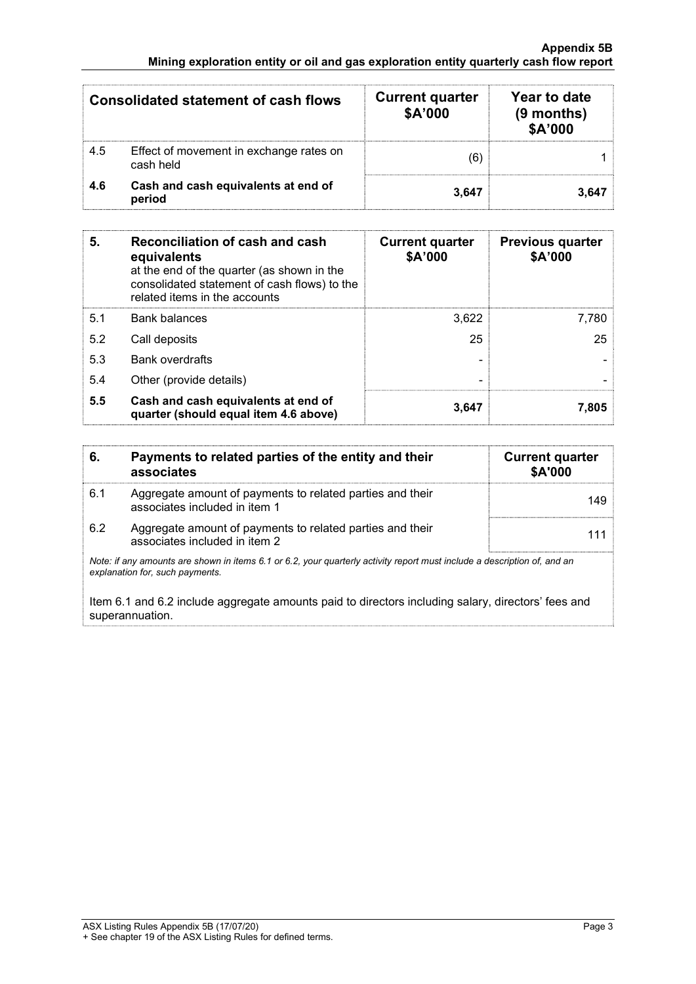#### Appendix 5B Mining exploration entity or oil and gas exploration entity quarterly cash flow report

| <b>Consolidated statement of cash flows</b> |                                                      | <b>Current quarter</b><br>\$A'000 | Year to date<br>$(9$ months)<br>\$A'000 |
|---------------------------------------------|------------------------------------------------------|-----------------------------------|-----------------------------------------|
| 4.5                                         | Effect of movement in exchange rates on<br>cash held | 61                                |                                         |
| 4.6                                         | Cash and cash equivalents at end of<br>period        | 3.647                             | 3.647                                   |

| 5.  | Reconciliation of cash and cash<br>equivalents<br>at the end of the quarter (as shown in the<br>consolidated statement of cash flows) to the<br>related items in the accounts | <b>Current quarter</b><br>\$A'000 | <b>Previous quarter</b><br>\$A'000 |
|-----|-------------------------------------------------------------------------------------------------------------------------------------------------------------------------------|-----------------------------------|------------------------------------|
| 5.1 | <b>Bank balances</b>                                                                                                                                                          | 3.622                             | 7,780                              |
| 5.2 | Call deposits                                                                                                                                                                 | 25                                | 25                                 |
| 5.3 | <b>Bank overdrafts</b>                                                                                                                                                        |                                   |                                    |
| 5.4 | Other (provide details)                                                                                                                                                       | -                                 |                                    |
| 5.5 | Cash and cash equivalents at end of<br>quarter (should equal item 4.6 above)                                                                                                  | 3,647                             | 7.805                              |

| -6. | Payments to related parties of the entity and their<br>associates                          | <b>Current quarter</b><br>\$A'000 |
|-----|--------------------------------------------------------------------------------------------|-----------------------------------|
| 6.1 | Aggregate amount of payments to related parties and their<br>associates included in item 1 | 149                               |
| 6.2 | Aggregate amount of payments to related parties and their<br>associates included in item 2 |                                   |

Note: if any amounts are shown in items 6.1 or 6.2, your quarterly activity report must include a description of, and an explanation for, such payments.

Item 6.1 and 6.2 include aggregate amounts paid to directors including salary, directors' fees and superannuation.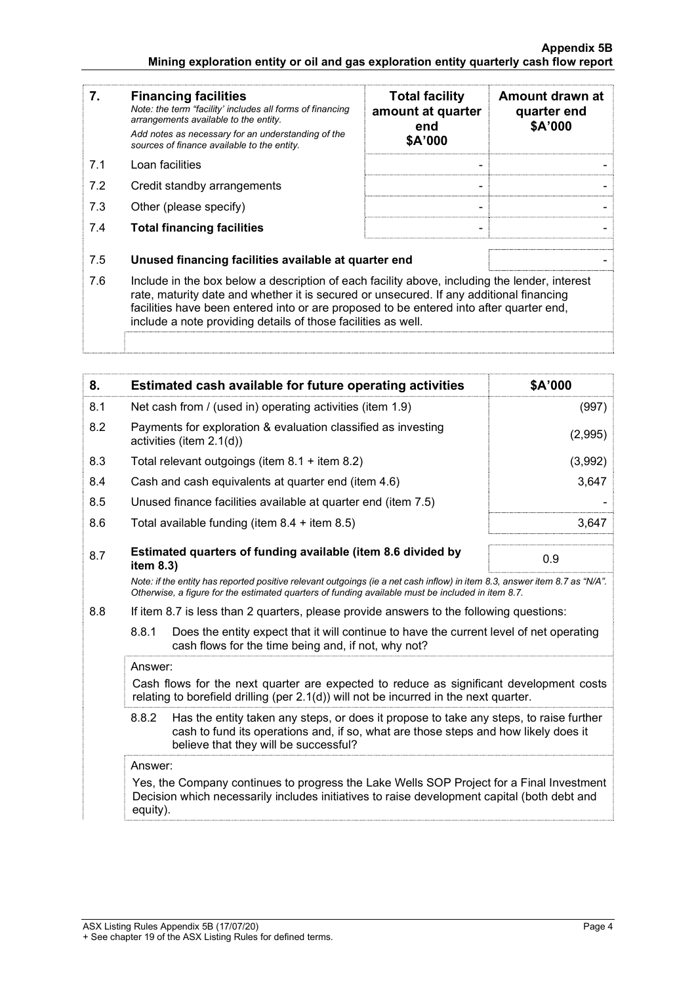#### Appendix 5B Mining exploration entity or oil and gas exploration entity quarterly cash flow report

| 7.  | <b>Financing facilities</b><br>Note: the term "facility' includes all forms of financing<br>arrangements available to the entity.<br>Add notes as necessary for an understanding of the<br>sources of finance available to the entity.                                                                                                               | <b>Total facility</b><br>amount at quarter<br>end<br>\$A'000 | Amount drawn at<br>quarter end<br>\$A'000 |
|-----|------------------------------------------------------------------------------------------------------------------------------------------------------------------------------------------------------------------------------------------------------------------------------------------------------------------------------------------------------|--------------------------------------------------------------|-------------------------------------------|
| 7.1 | Loan facilities                                                                                                                                                                                                                                                                                                                                      |                                                              |                                           |
| 7.2 | Credit standby arrangements                                                                                                                                                                                                                                                                                                                          |                                                              |                                           |
| 7.3 | Other (please specify)                                                                                                                                                                                                                                                                                                                               |                                                              |                                           |
| 7.4 | <b>Total financing facilities</b>                                                                                                                                                                                                                                                                                                                    |                                                              |                                           |
| 7.5 | Unused financing facilities available at quarter end                                                                                                                                                                                                                                                                                                 |                                                              |                                           |
| 7.6 | Include in the box below a description of each facility above, including the lender, interest<br>rate, maturity date and whether it is secured or unsecured. If any additional financing<br>facilities have been entered into or are proposed to be entered into after quarter end,<br>include a note providing details of those facilities as well. |                                                              |                                           |
|     |                                                                                                                                                                                                                                                                                                                                                      |                                                              |                                           |

| 8.  | Estimated cash available for future operating activities                                                                  | \$A'000 |
|-----|---------------------------------------------------------------------------------------------------------------------------|---------|
| 8.1 | Net cash from / (used in) operating activities (item 1.9)                                                                 | (997)   |
| 8.2 | Payments for exploration & evaluation classified as investing<br>activities (item $2.1(d)$ )                              | (2,995) |
| 8.3 | Total relevant outgoings (item $8.1 +$ item $8.2$ )                                                                       | (3,992) |
| 8.4 | Cash and cash equivalents at quarter end (item 4.6)                                                                       | 3,647   |
| 8.5 | Unused finance facilities available at quarter end (item 7.5)                                                             |         |
| 8.6 | Total available funding (item $8.4 +$ item $8.5$ )                                                                        | 3.647   |
| 8.7 | Estimated quarters of funding available (item 8.6 divided by<br>item $8.3$ )                                              | 0.9     |
|     | Note: if the entity has reported positive relevant outgoings (ie a net cash inflow) in item 8.3, answer item 8.7 as "N/A" |         |

Note: if the entity has reported positive relevant outgoings (ie a net cash inflow) in item 8.3, answer item 8.7 as "N/A". Otherwise, a figure for the estimated quarters of funding available must be included in item 8.7.

8.8 If item 8.7 is less than 2 quarters, please provide answers to the following questions:

 8.8.1 Does the entity expect that it will continue to have the current level of net operating cash flows for the time being and, if not, why not?

#### Answer:

Cash flows for the next quarter are expected to reduce as significant development costs relating to borefield drilling (per 2.1(d)) will not be incurred in the next quarter.

8.8.2 Has the entity taken any steps, or does it propose to take any steps, to raise further cash to fund its operations and, if so, what are those steps and how likely does it believe that they will be successful?

### Answer:

Yes, the Company continues to progress the Lake Wells SOP Project for a Final Investment Decision which necessarily includes initiatives to raise development capital (both debt and equity).